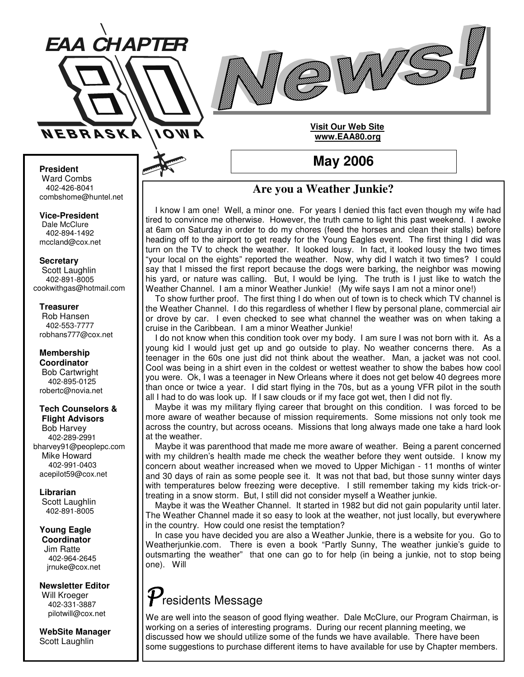



### **Visit Our Web Site www.EAA80.org**

**May 2006**

### **President**

Ward Combs 402-426-8041 combshome@huntel.net

**Vice-President** Dale McClure 402-894-1492 mccland@cox.net

**Secretary**

Scott Laughlin 402-891-8005 cookwithgas@hotmail.com

#### **Treasurer**

Rob Hansen 402-553-7777 robhans777@cox.net

#### **Membership Coordinator** Bob Cartwright 402-895-0125 robertc@novia.net

### **Tech Counselors & Flight Advisors**

Bob Harvey 402-289-2991 bharvey91@peoplepc.com Mike Howard 402-991-0403 acepilot59@cox.net

**Librarian** Scott Laughlin 402-891-8005

**Young Eagle Coordinator** Jim Ratte 402-964-2645 jrnuke@cox.net

**Newsletter Editor** Will Kroeger 402-331-3887 pilotwill@cox.net

**WebSite Manager** Scott Laughlin

## **Are you a Weather Junkie?**

I know I am one! Well, a minor one. For years I denied this fact even though my wife had tired to convince me otherwise. However, the truth came to light this past weekend. I awoke at 6am on Saturday in order to do my chores (feed the horses and clean their stalls) before heading off to the airport to get ready for the Young Eagles event. The first thing I did was turn on the TV to check the weather. It looked lousy. In fact, it looked lousy the two times "your local on the eights" reported the weather. Now, why did I watch it two times? I could say that I missed the first report because the dogs were barking, the neighbor was mowing his yard, or nature was calling. But, I would be lying. The truth is I just like to watch the Weather Channel. I am a minor Weather Junkie! (My wife says I am not a minor one!)

To show further proof. The first thing I do when out of town is to check which TV channel is the Weather Channel. I do this regardless of whether I flew by personal plane, commercial air or drove by car. I even checked to see what channel the weather was on when taking a cruise in the Caribbean. I am a minor Weather Junkie!

I do not know when this condition took over my body. I am sure I was not born with it. As a young kid I would just get up and go outside to play. No weather concerns there. As a teenager in the 60s one just did not think about the weather. Man, a jacket was not cool. Cool was being in a shirt even in the coldest or wettest weather to show the babes how cool you were. Ok, I was a teenager in New Orleans where it does not get below 40 degrees more than once or twice a year. I did start flying in the 70s, but as a young VFR pilot in the south all I had to do was look up. If I saw clouds or if my face got wet, then I did not fly.

Maybe it was my military flying career that brought on this condition. I was forced to be more aware of weather because of mission requirements. Some missions not only took me across the country, but across oceans. Missions that long always made one take a hard look at the weather.

Maybe it was parenthood that made me more aware of weather. Being a parent concerned with my children's health made me check the weather before they went outside. I know my concern about weather increased when we moved to Upper Michigan - 11 months of winter and 30 days of rain as some people see it. It was not that bad, but those sunny winter days with temperatures below freezing were deceptive. I still remember taking my kids trick-ortreating in a snow storm. But, I still did not consider myself a Weather junkie.

Maybe it was the Weather Channel. It started in 1982 but did not gain popularity until later. The Weather Channel made it so easy to look at the weather, not just locally, but everywhere in the country. How could one resist the temptation?

In case you have decided you are also a Weather Junkie, there is a website for you. Go to Weatherjunkie.com. There is even a book "Partly Sunny, The weather junkie's guide to outsmarting the weather" that one can go to for help (in being a junkie, not to stop being one). Will

# $\boldsymbol{\mathcal{V}}$ residents Message

We are well into the season of good flying weather. Dale McClure, our Program Chairman, is working on a series of interesting programs. During our recent planning meeting, we discussed how we should utilize some of the funds we have available. There have been some suggestions to purchase different items to have available for use by Chapter members.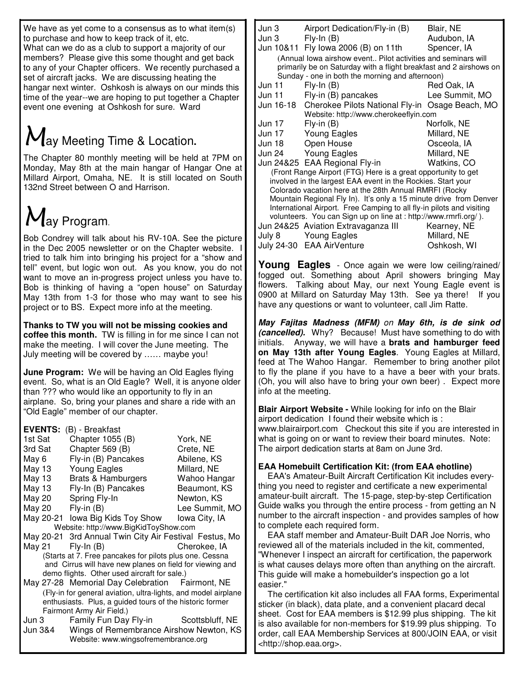We have as yet come to a consensus as to what item(s) to purchase and how to keep track of it, etc. What can we do as a club to support a majority of our members? Please give this some thought and get back to any of your Chapter officers. We recently purchased a set of aircraft jacks. We are discussing heating the hangar next winter. Oshkosh is always on our minds this time of the year--we are hoping to put together a Chapter event one evening at Oshkosh for sure. Ward

# $M_{\text{ay Meeting Time & Location.}}$

The Chapter 80 monthly meeting will be held at 7PM on Monday, May 8th at the main hangar of Hangar One at Millard Airport, Omaha, NE. It is still located on South 132nd Street between O and Harrison.

# May Program.

Bob Condrey will talk about his RV-10A. See the picture in the Dec 2005 newsletter or on the Chapter website. I tried to talk him into bringing his project for a "show and tell" event, but logic won out. As you know, you do not want to move an in-progress project unless you have to. Bob is thinking of having a "open house" on Saturday May 13th from 1-3 for those who may want to see his project or to BS. Expect more info at the meeting.

**Thanks to TW you will not be missing cookies and coffee this month.** TW is filling in for me since I can not make the meeting. I will cover the June meeting. The July meeting will be covered by …… maybe you!

**June Program:** We will be having an Old Eagles flying event. So, what is an Old Eagle? Well, it is anyone older than ??? who would like an opportunity to fly in an airplane. So, bring your planes and share a ride with an "Old Eagle" member of our chapter.

| <b>EVENTS:</b><br>(B) - Breakfast                                                                                             |                                                        |                |  |  |
|-------------------------------------------------------------------------------------------------------------------------------|--------------------------------------------------------|----------------|--|--|
| 1st Sat                                                                                                                       | Chapter 1055 (B)                                       | York, NE       |  |  |
| 3rd Sat                                                                                                                       | Chapter 569 (B)                                        | Crete, NE      |  |  |
| May 6                                                                                                                         | Fly-in (B) Pancakes                                    | Abilene, KS    |  |  |
| May 13                                                                                                                        | Young Eagles                                           | Millard, NE    |  |  |
| May 13                                                                                                                        | <b>Brats &amp; Hamburgers</b>                          | Wahoo Hangar   |  |  |
| May 13                                                                                                                        | Fly-In (B) Pancakes                                    | Beaumont, KS   |  |  |
| May 20                                                                                                                        | Spring Fly-In                                          | Newton, KS     |  |  |
| May 20                                                                                                                        | $Fly-in(B)$                                            | Lee Summit, MO |  |  |
|                                                                                                                               | May 20-21 lowa Big Kids Toy Show lowa City, IA         |                |  |  |
| Website: http://www.BigKidToyShow.com                                                                                         |                                                        |                |  |  |
|                                                                                                                               | May 20-21 3rd Annual Twin City Air Festival Festus, Mo |                |  |  |
| May 21                                                                                                                        | $Fly-In(B)$                                            | Cherokee. IA   |  |  |
| (Starts at 7. Free pancakes for pilots plus one. Cessna                                                                       |                                                        |                |  |  |
| and Cirrus will have new planes on field for viewing and                                                                      |                                                        |                |  |  |
| demo flights. Other used aircraft for sale.)                                                                                  |                                                        |                |  |  |
|                                                                                                                               | May 27-28 Memorial Day Celebration Fairmont, NE        |                |  |  |
| (Fly-in for general aviation, ultra-lights, and model airplane<br>sathraiche – Dhuais a suideal teurs ef the biotesis fessees |                                                        |                |  |  |

enthusiasts. Plus, a guided tours of the historic former Fairmont Army Air Field.) Jun 3 Family Fun Day Fly-in Scottsbluff, NE

Jun 3&4 Wings of Remembrance Airshow Newton, KS Website: www.wingsofremembrance.org

| Jun 3                                                                                                   | Airport Dedication/Fly-in (B)                                 | Blair, NE      |  |
|---------------------------------------------------------------------------------------------------------|---------------------------------------------------------------|----------------|--|
| Jun 3                                                                                                   | $Fly-In(B)$                                                   | Audubon, IA    |  |
|                                                                                                         | Jun 10&11 Fly Iowa 2006 (B) on 11th                           | Spencer, IA    |  |
|                                                                                                         | (Annual lowa airshow event Pilot activities and seminars will |                |  |
| primarily be on Saturday with a flight breakfast and 2 airshows on                                      |                                                               |                |  |
| Sunday - one in both the morning and afternoon)                                                         |                                                               |                |  |
| Jun 11                                                                                                  | $Fly-In(B)$                                                   | Red Oak, IA    |  |
| Jun 11                                                                                                  | Fly-in (B) pancakes                                           | Lee Summit, MO |  |
|                                                                                                         | Jun 16-18 Cherokee Pilots National Fly-in Osage Beach, MO     |                |  |
| Website: http://www.cherokeeflyin.com                                                                   |                                                               |                |  |
| Jun 17                                                                                                  | $Fly-in(B)$                                                   | Norfolk, NE    |  |
| Jun 17                                                                                                  | <b>Young Eagles</b>                                           | Millard, NE    |  |
| Jun 18                                                                                                  | Open House                                                    | Osceola, IA    |  |
| Jun 24                                                                                                  | <b>Young Eagles</b>                                           | Millard, NE    |  |
|                                                                                                         | Jun 24&25 EAA Regional Fly-in                                 | Watkins, CO    |  |
| (Front Range Airport (FTG) Here is a great opportunity to get                                           |                                                               |                |  |
| involved in the largest EAA event in the Rockies. Start your                                            |                                                               |                |  |
| Colorado vacation here at the 28th Annual RMRFI (Rocky                                                  |                                                               |                |  |
| Mountain Regional Fly In). It's only a 15 minute drive from Denver                                      |                                                               |                |  |
| International Airport. Free Camping to all fly-in pilots and visiting                                   |                                                               |                |  |
| volunteers. You can Sign up on line at : http://www.rmrfi.org/).<br>Jun 24&25 Aviation Extravaganza III |                                                               |                |  |
|                                                                                                         |                                                               | Kearney, NE    |  |
|                                                                                                         | July 8 Young Eagles                                           | Millard, NE    |  |
|                                                                                                         | July 24-30 EAA AirVenture                                     | Oshkosh, WI    |  |

**Young Eagles** - Once again we were low ceiling/rained/ fogged out. Something about April showers bringing May flowers. Talking about May, our next Young Eagle event is 0900 at Millard on Saturday May 13th. See ya there! If you have any questions or want to volunteer, call Jim Ratte.

*May Fajitas Madness (MFM) on May 6th, is de sink od (cancelled).* Why? Because! Must have something to do with initials. Anyway, we will have a **brats and hamburger feed on May 13th after Young Eagles**. Young Eagles at Millard, feed at The Wahoo Hangar. Remember to bring another pilot to fly the plane if you have to a have a beer with your brats. (Oh, you will also have to bring your own beer) . Expect more info at the meeting.

**Blair Airport Website -** While looking for info on the Blair airport dedication I found their website which is : www.blairairport.com Checkout this site if you are interested in what is going on or want to review their board minutes. Note: The airport dedication starts at 8am on June 3rd.

### **EAA Homebuilt Certification Kit: (from EAA ehotline)**

EAA's Amateur-Built Aircraft Certification Kit includes everything you need to register and certificate a new experimental amateur-built aircraft. The 15-page, step-by-step Certification Guide walks you through the entire process - from getting an N number to the aircraft inspection - and provides samples of how to complete each required form.

EAA staff member and Amateur-Built DAR Joe Norris, who reviewed all of the materials included in the kit, commented, "Whenever I inspect an aircraft for certification, the paperwork is what causes delays more often than anything on the aircraft. This guide will make a homebuilder's inspection go a lot easier."

The certification kit also includes all FAA forms, Experimental sticker (in black), data plate, and a convenient placard decal sheet. Cost for EAA members is \$12.99 plus shipping. The kit is also available for non-members for \$19.99 plus shipping. To order, call EAA Membership Services at 800/JOIN EAA, or visit <http://shop.eaa.org>.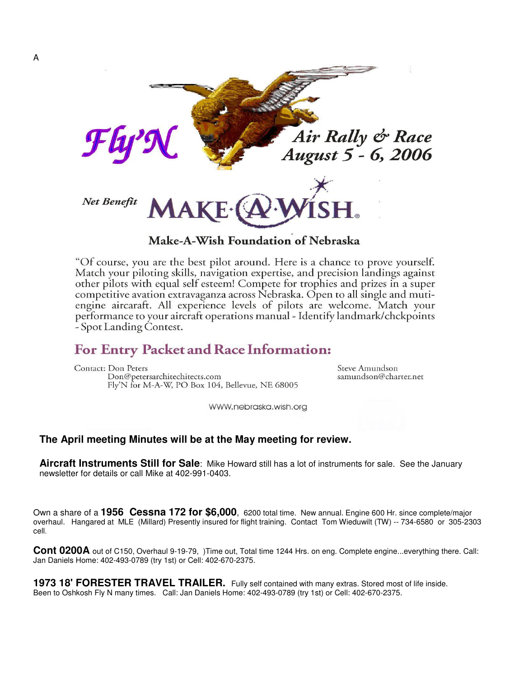

### Make-A-Wish Foundation of Nebraska

"Of course, you are the best pilot around. Here is a chance to prove yourself. Match your piloting skills, navigation expertise, and precision landings against other pilots with equal self esteem! Compete for trophies and prizes in a super competitive avation extravaganza across Nebraska. Open to all single and mutiengine aircaraft. All experience levels of pilots are welcome. Match your performance to your aircraft operations manual - Identify landmark/chckpoints - Spot Landing Contest.

# For Entry Packet and Race Information:

Contact: Don Peters Don@petersarchitechitects.com Fly'N for M-A-W, PO Box 104, Bellevue, NE 68005 Steve Amundson samundson@charter.net

WWW.nebraska.wish.org

### **The April meeting Minutes will be at the May meeting for review.**

**Aircraft Instruments Still for Sale**: Mike Howard still has a lot of instruments for sale. See the January newsletter for details or call Mike at 402-991-0403.

Own a share of a **1956 Cessna 172 for \$6,000**, 6200 total time. New annual. Engine 600 Hr. since complete/major overhaul. Hangared at MLE (Millard) Presently insured for flight training. Contact Tom Wieduwilt (TW) -- 734-6580 or 305-2303 cell.

**Cont 0200A** out of C150, Overhaul 9-19-79, )Time out, Total time 1244 Hrs. on eng. Complete engine...everything there. Call: Jan Daniels Home: 402-493-0789 (try 1st) or Cell: 402-670-2375.

**1973 18' FORESTER TRAVEL TRAILER.** Fully self contained with many extras. Stored most of life inside. Been to Oshkosh Fly N many times. Call: Jan Daniels Home: 402-493-0789 (try 1st) or Cell: 402-670-2375.